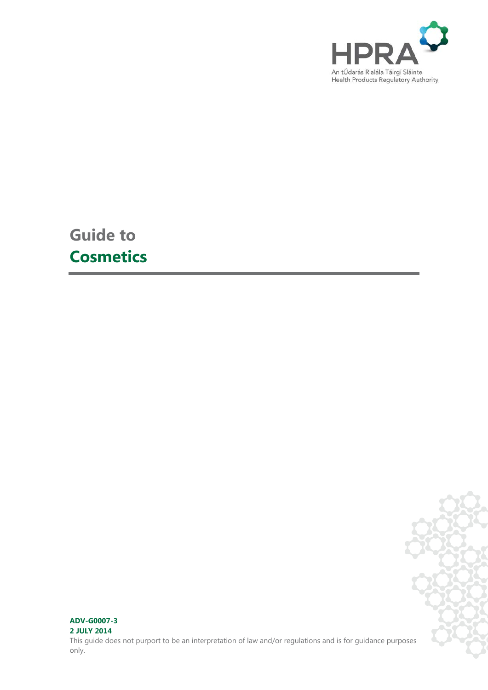

**Guide to Cosmetics**



## **ADV-G0007-3 2 JULY 2014**

This guide does not purport to be an interpretation of law and/or regulations and is for guidance purposes only.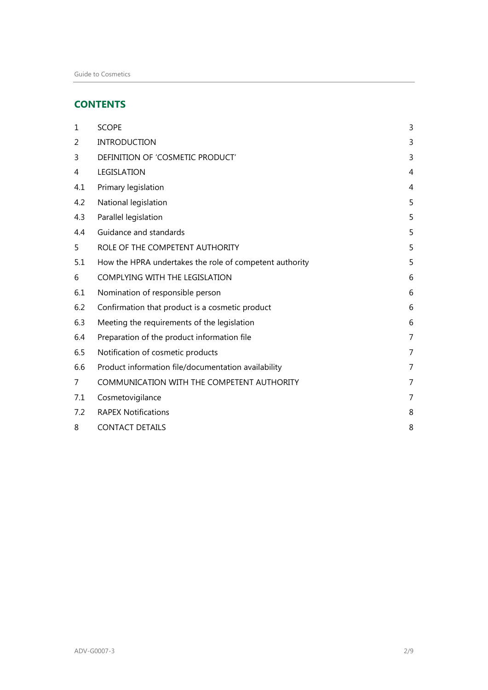# **CONTENTS**

| $\mathbf{1}$ | <b>SCOPE</b>                                            | 3 |
|--------------|---------------------------------------------------------|---|
| 2            | <b>INTRODUCTION</b>                                     | 3 |
| 3            | DEFINITION OF 'COSMETIC PRODUCT'                        | 3 |
| 4            | LEGISLATION                                             | 4 |
| 4.1          | Primary legislation                                     | 4 |
| 4.2          | National legislation                                    | 5 |
| 4.3          | Parallel legislation                                    | 5 |
| 4.4          | Guidance and standards                                  | 5 |
| 5            | ROLE OF THE COMPETENT AUTHORITY                         | 5 |
| 5.1          | How the HPRA undertakes the role of competent authority | 5 |
| 6            | COMPLYING WITH THE LEGISLATION                          | 6 |
| 6.1          | Nomination of responsible person                        | 6 |
| 6.2          | Confirmation that product is a cosmetic product         | 6 |
| 6.3          | Meeting the requirements of the legislation             | 6 |
| 6.4          | Preparation of the product information file             | 7 |
| 6.5          | Notification of cosmetic products                       | 7 |
| 6.6          | Product information file/documentation availability     | 7 |
| 7            | COMMUNICATION WITH THE COMPETENT AUTHORITY              | 7 |
| 7.1          | Cosmetovigilance                                        | 7 |
| 7.2          | <b>RAPEX Notifications</b>                              | 8 |
| 8            | <b>CONTACT DETAILS</b>                                  | 8 |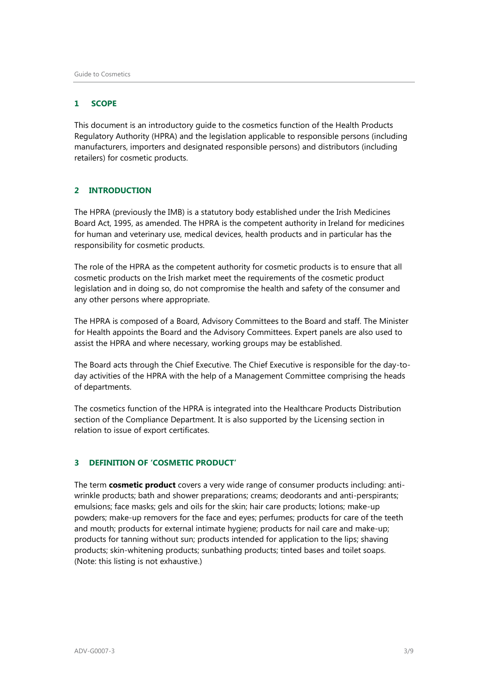# <span id="page-2-0"></span>**1 SCOPE**

This document is an introductory guide to the cosmetics function of the Health Products Regulatory Authority (HPRA) and the legislation applicable to responsible persons (including manufacturers, importers and designated responsible persons) and distributors (including retailers) for cosmetic products.

# <span id="page-2-1"></span>**2 INTRODUCTION**

The HPRA (previously the IMB) is a statutory body established under the Irish Medicines Board Act, 1995, as amended. The HPRA is the competent authority in Ireland for medicines for human and veterinary use, medical devices, health products and in particular has the responsibility for cosmetic products.

The role of the HPRA as the competent authority for cosmetic products is to ensure that all cosmetic products on the Irish market meet the requirements of the cosmetic product legislation and in doing so, do not compromise the health and safety of the consumer and any other persons where appropriate.

The HPRA is composed of a Board, Advisory Committees to the Board and staff. The Minister for Health appoints the Board and the Advisory Committees. Expert panels are also used to assist the HPRA and where necessary, working groups may be established.

The Board acts through the Chief Executive. The Chief Executive is responsible for the day-today activities of the HPRA with the help of a Management Committee comprising the heads of departments.

The cosmetics function of the HPRA is integrated into the Healthcare Products Distribution section of the Compliance Department. It is also supported by the Licensing section in relation to issue of export certificates.

# <span id="page-2-2"></span>**3 DEFINITION OF 'COSMETIC PRODUCT'**

The term **cosmetic product** covers a very wide range of consumer products including: antiwrinkle products; bath and shower preparations; creams; deodorants and anti-perspirants; emulsions; face masks; gels and oils for the skin; hair care products; lotions; make-up powders; make-up removers for the face and eyes; perfumes; products for care of the teeth and mouth; products for external intimate hygiene; products for nail care and make-up; products for tanning without sun; products intended for application to the lips; shaving products; skin-whitening products; sunbathing products; tinted bases and toilet soaps. (Note: this listing is not exhaustive.)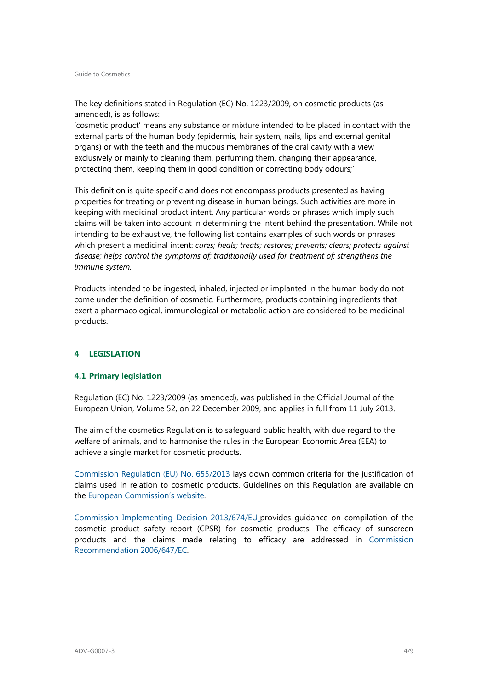The key definitions stated in Regulation (EC) No. 1223/2009, on cosmetic products (as amended), is as follows:

'cosmetic product' means any substance or mixture intended to be placed in contact with the external parts of the human body (epidermis, hair system, nails, lips and external genital organs) or with the teeth and the mucous membranes of the oral cavity with a view exclusively or mainly to cleaning them, perfuming them, changing their appearance, protecting them, keeping them in good condition or correcting body odours;'

This definition is quite specific and does not encompass products presented as having properties for treating or preventing disease in human beings. Such activities are more in keeping with medicinal product intent. Any particular words or phrases which imply such claims will be taken into account in determining the intent behind the presentation. While not intending to be exhaustive, the following list contains examples of such words or phrases which present a medicinal intent: *cures; heals; treats; restores; prevents; clears; protects against disease; helps control the symptoms of; traditionally used for treatment of; strengthens the immune system.*

Products intended to be ingested, inhaled, injected or implanted in the human body do not come under the definition of cosmetic. Furthermore, products containing ingredients that exert a pharmacological, immunological or metabolic action are considered to be medicinal products.

# <span id="page-3-0"></span>**4 LEGISLATION**

### <span id="page-3-1"></span>**4.1 Primary legislation**

Regulation (EC) No. 1223/2009 (as amended), was published in the Official Journal of the European Union, Volume 52, on 22 December 2009, and applies in full from 11 July 2013.

The aim of the cosmetics Regulation is to safeguard public health, with due regard to the welfare of animals, and to harmonise the rules in the European Economic Area (EEA) to achieve a single market for cosmetic products.

[Commission Regulation \(EU\) No. 655/2013](http://eur-lex.europa.eu/LexUriServ/LexUriServ.do?uri=OJ:L:2013:190:0031:0034:EN:PDF) lays down common criteria for the justification of claims used in relation to cosmetic products. Guidelines on this Regulation are available on the [European Commission's website.](http://ec.europa.eu/consumers/sectors/cosmetics/regulatory-framework/index_en.htm) 

[Commission Implementing Decision 2013/674/EU](http://eur-lex.europa.eu/LexUriServ/LexUriServ.do?uri=OJ:L:2013:315:0082:0105:EN:PDF) provides guidance on compilation of the cosmetic product safety report (CPSR) for cosmetic products. The efficacy of sunscreen products and the claims made relating to efficacy are addressed in [Commission](http://eur-lex.europa.eu/LexUriServ/LexUriServ.do?uri=OJ:L:2006:265:0039:0043:en:PDF)  [Recommendation 2006/647/EC.](http://eur-lex.europa.eu/LexUriServ/LexUriServ.do?uri=OJ:L:2006:265:0039:0043:en:PDF)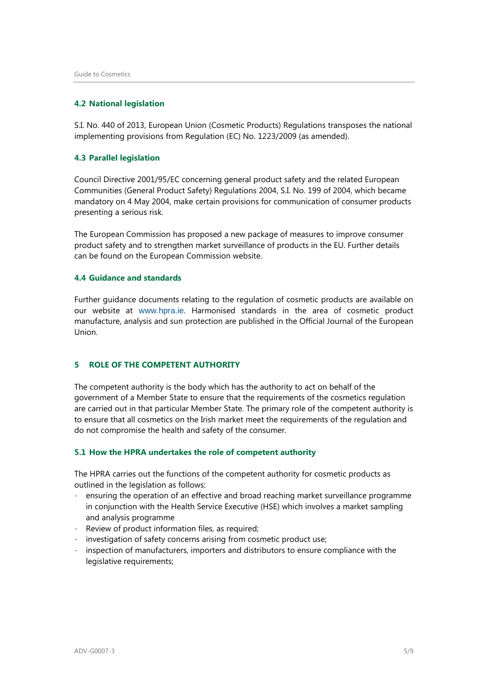#### <span id="page-4-0"></span>**4.2 National legislation**

S.I. No. 440 of 2013, European Union (Cosmetic Products) Regulations transposes the national implementing provisions from Regulation (EC) No. 1223/2009 (as amended).

#### <span id="page-4-1"></span>**4.3 Parallel legislation**

Council Directive 2001/95/EC concerning general product safety and the related European Communities (General Product Safety) Regulations 2004, S.I. No. 199 of 2004, which became mandatory on 4 May 2004, make certain provisions for communication of consumer products presenting a serious risk.

The European Commission has proposed a new package of measures to improve consumer product safety and to strengthen market surveillance of products in the EU. Further details can be found on the European Commission website.

#### <span id="page-4-2"></span>**4.4 Guidance and standards**

Further guidance documents relating to the regulation of cosmetic products are available on our website at [www.hpra.ie](http://www.hpra.ie/). Harmonised standards in the area of cosmetic product manufacture, analysis and sun protection are published in the Official Journal of the European Union.

# <span id="page-4-3"></span>**5 ROLE OF THE COMPETENT AUTHORITY**

The competent authority is the body which has the authority to act on behalf of the government of a Member State to ensure that the requirements of the cosmetics regulation are carried out in that particular Member State. The primary role of the competent authority is to ensure that all cosmetics on the Irish market meet the requirements of the regulation and do not compromise the health and safety of the consumer.

### <span id="page-4-4"></span>**5.1 How the HPRA undertakes the role of competent authority**

The HPRA carries out the functions of the competent authority for cosmetic products as outlined in the legislation as follows:

- ensuring the operation of an effective and broad reaching market surveillance programme in conjunction with the Health Service Executive (HSE) which involves a market sampling and analysis programme
- Review of product information files, as required;
- investigation of safety concerns arising from cosmetic product use;
- inspection of manufacturers, importers and distributors to ensure compliance with the legislative requirements;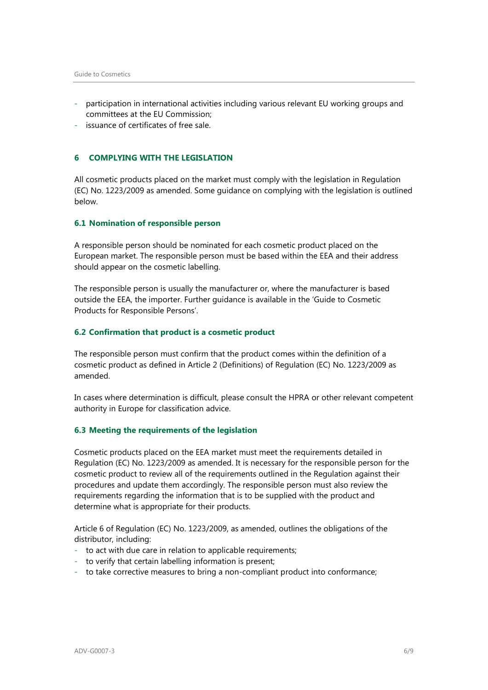- participation in international activities including various relevant EU working groups and committees at the EU Commission;
- issuance of certificates of free sale.

# <span id="page-5-0"></span>**6 COMPLYING WITH THE LEGISLATION**

All cosmetic products placed on the market must comply with the legislation in Regulation (EC) No. 1223/2009 as amended. Some guidance on complying with the legislation is outlined below.

## <span id="page-5-1"></span>**6.1 Nomination of responsible person**

A responsible person should be nominated for each cosmetic product placed on the European market. The responsible person must be based within the EEA and their address should appear on the cosmetic labelling.

The responsible person is usually the manufacturer or, where the manufacturer is based outside the EEA, the importer. Further guidance is available in the 'Guide to Cosmetic Products for Responsible Persons'.

# <span id="page-5-2"></span>**6.2 Confirmation that product is a cosmetic product**

The responsible person must confirm that the product comes within the definition of a cosmetic product as defined in Article 2 (Definitions) of Regulation (EC) No. 1223/2009 as amended.

In cases where determination is difficult, please consult the HPRA or other relevant competent authority in Europe for classification advice.

#### <span id="page-5-3"></span>**6.3 Meeting the requirements of the legislation**

Cosmetic products placed on the EEA market must meet the requirements detailed in Regulation (EC) No. 1223/2009 as amended. It is necessary for the responsible person for the cosmetic product to review all of the requirements outlined in the Regulation against their procedures and update them accordingly. The responsible person must also review the requirements regarding the information that is to be supplied with the product and determine what is appropriate for their products.

Article 6 of Regulation (EC) No. 1223/2009, as amended, outlines the obligations of the distributor, including:

- to act with due care in relation to applicable requirements;
- to verify that certain labelling information is present;
- to take corrective measures to bring a non-compliant product into conformance;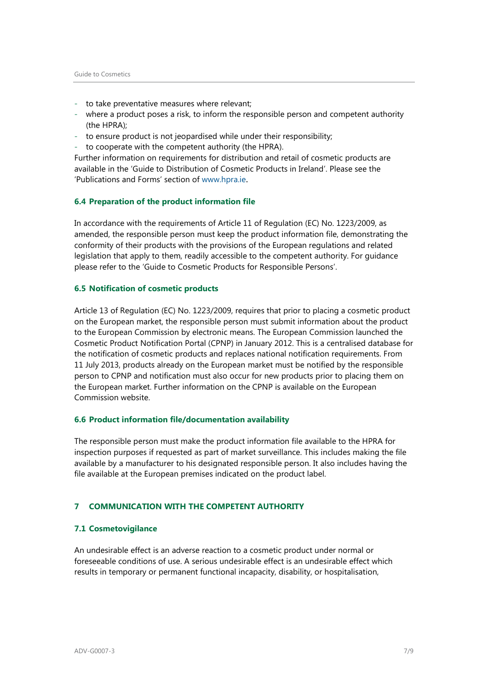- to take preventative measures where relevant;
- where a product poses a risk, to inform the responsible person and competent authority (the HPRA);
- to ensure product is not jeopardised while under their responsibility;
- to cooperate with the competent authority (the HPRA).

Further information on requirements for distribution and retail of cosmetic products are available in the 'Guide to Distribution of Cosmetic Products in Ireland'. Please see the 'Publications and Forms' section of [www.hpra.ie](http://www.hpra.ie/).

#### <span id="page-6-0"></span>**6.4 Preparation of the product information file**

In accordance with the requirements of Article 11 of Regulation (EC) No. 1223/2009, as amended, the responsible person must keep the product information file, demonstrating the conformity of their products with the provisions of the European regulations and related legislation that apply to them, readily accessible to the competent authority. For guidance please refer to the 'Guide to Cosmetic Products for Responsible Persons'.

### <span id="page-6-1"></span>**6.5 Notification of cosmetic products**

Article 13 of Regulation (EC) No. 1223/2009, requires that prior to placing a cosmetic product on the European market, the responsible person must submit information about the product to the European Commission by electronic means. The European Commission launched the Cosmetic Product Notification Portal (CPNP) in January 2012. This is a centralised database for the notification of cosmetic products and replaces national notification requirements. From 11 July 2013, products already on the European market must be notified by the responsible person to CPNP and notification must also occur for new products prior to placing them on the European market. Further information on the CPNP is available on the European Commission website.

# <span id="page-6-2"></span>**6.6 Product information file/documentation availability**

The responsible person must make the product information file available to the HPRA for inspection purposes if requested as part of market surveillance. This includes making the file available by a manufacturer to his designated responsible person. It also includes having the file available at the European premises indicated on the product label.

### <span id="page-6-3"></span>**7 COMMUNICATION WITH THE COMPETENT AUTHORITY**

#### <span id="page-6-4"></span>**7.1 Cosmetovigilance**

An undesirable effect is an adverse reaction to a cosmetic product under normal or foreseeable conditions of use. A serious undesirable effect is an undesirable effect which results in temporary or permanent functional incapacity, disability, or hospitalisation,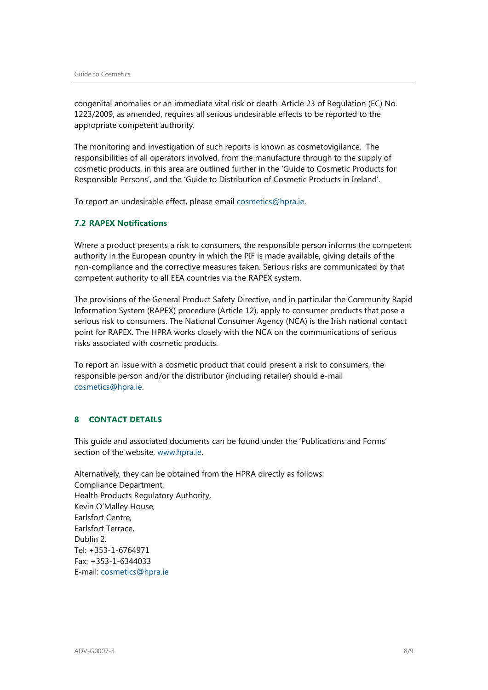congenital anomalies or an immediate vital risk or death. Article 23 of Regulation (EC) No. 1223/2009, as amended, requires all serious undesirable effects to be reported to the appropriate competent authority.

The monitoring and investigation of such reports is known as cosmetovigilance. The responsibilities of all operators involved, from the manufacture through to the supply of cosmetic products, in this area are outlined further in the 'Guide to Cosmetic Products for Responsible Persons', and the 'Guide to Distribution of Cosmetic Products in Ireland'.

To report an undesirable effect, please email [cosmetics@hpra.ie.](mailto:cosmetics@hpra.ie)

## <span id="page-7-0"></span>**7.2 RAPEX Notifications**

Where a product presents a risk to consumers, the responsible person informs the competent authority in the European country in which the PIF is made available, giving details of the non-compliance and the corrective measures taken. Serious risks are communicated by that competent authority to all EEA countries via the RAPEX system.

The provisions of the General Product Safety Directive, and in particular the Community Rapid Information System (RAPEX) procedure (Article 12), apply to consumer products that pose a serious risk to consumers. The National Consumer Agency (NCA) is the Irish national contact point for RAPEX. The HPRA works closely with the NCA on the communications of serious risks associated with cosmetic products.

To report an issue with a cosmetic product that could present a risk to consumers, the responsible person and/or the distributor (including retailer) should e-mail [cosmetics@hpra.ie.](mailto:cosmetics@hpra.ie)

# <span id="page-7-1"></span>**8 CONTACT DETAILS**

This guide and associated documents can be found under the 'Publications and Forms' section of the website, [www.hpra.ie.](http://www.hpra.ie/)

Alternatively, they can be obtained from the HPRA directly as follows: Compliance Department, Health Products Regulatory Authority, Kevin O'Malley House, Earlsfort Centre, Earlsfort Terrace, Dublin 2. Tel: +353-1-6764971 Fax: +353-1-6344033 E-mail: [cosmetics@hpra.ie](mailto:cosmetics@hpra.ie)